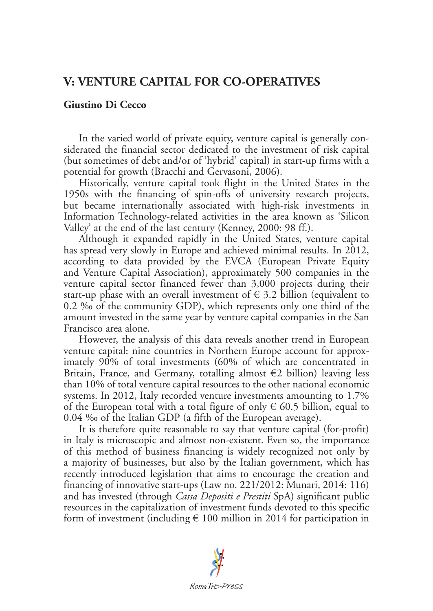## **V: VENTURE CAPITAL FOR CO-OPERATIVES**

## **Giustino Di Cecco**

In the varied world of private equity, venture capital is generally considerated the financial sector dedicated to the investment of risk capital (but sometimes of debt and/or of 'hybrid' capital) in start-up firms with a potential for growth (Bracchi and Gervasoni, 2006).

Historically, venture capital took flight in the United States in the 1950s with the financing of spin-offs of university research projects, but became internationally associated with high-risk investments in Information Technology-related activities in the area known as 'Silicon Valley' at the end of the last century (Kenney, 2000: 98 ff.).

Although it expanded rapidly in the United States, venture capital has spread very slowly in Europe and achieved minimal results. In 2012, according to data provided by the EVCA (European Private Equity and Venture Capital Association), approximately 500 companies in the venture capital sector financed fewer than 3,000 projects during their start-up phase with an overall investment of  $\epsilon$  3.2 billion (equivalent to 0.2 ‰ of the community GDP), which represents only one third of the amount invested in the same year by venture capital companies in the San Francisco area alone.

However, the analysis of this data reveals another trend in European venture capital: nine countries in Northern Europe account for approximately 90% of total investments (60% of which are concentrated in Britain, France, and Germany, totalling almost  $\epsilon$ 2 billion) leaving less than 10% of total venture capital resources to the other national economic systems. In 2012, Italy recorded venture investments amounting to 1.7% of the European total with a total figure of only  $\epsilon$  60.5 billion, equal to 0.04 ‰ of the Italian GDP (a fifth of the European average).

It is therefore quite reasonable to say that venture capital (for-profit) in Italy is microscopic and almost non-existent. Even so, the importance of this method of business financing is widely recognized not only by a majority of businesses, but also by the Italian government, which has recently introduced legislation that aims to encourage the creation and financing of innovative start-ups (Law no. 221/2012: Munari, 2014: 116) and has invested (through *Cassa Depositi e Prestiti* SpA) significant public resources in the capitalization of investment funds devoted to this specific form of investment (including  $\in$  100 million in 2014 for participation in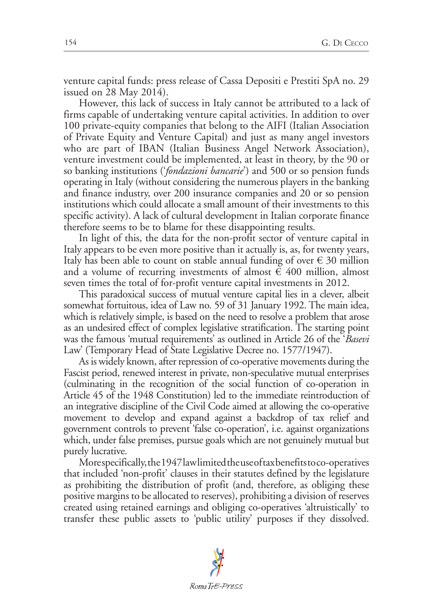venture capital funds: press release of Cassa Depositi e Prestiti SpA no. 29 issued on 28 May 2014).

However, this lack of success in Italy cannot be attributed to a lack of firms capable of undertaking venture capital activities. In addition to over 100 private-equity companies that belong to the AIFI (Italian Association of Private Equity and Venture Capital) and just as many angel investors who are part of IBAN (Italian Business Angel Network Association), venture investment could be implemented, at least in theory, by the 90 or so banking institutions ('*fondazioni bancarie*') and 500 or so pension funds operating in Italy (without considering the numerous players in the banking and finance industry, over 200 insurance companies and 20 or so pension institutions which could allocate a small amount of their investments to this specific activity). A lack of cultural development in Italian corporate finance therefore seems to be to blame for these disappointing results.

In light of this, the data for the non-profit sector of venture capital in Italy appears to be even more positive than it actually is, as, for twenty years, Italy has been able to count on stable annual funding of over  $\epsilon$  30 million and a volume of recurring investments of almost  $\in$  400 million, almost seven times the total of for-profit venture capital investments in 2012.

This paradoxical success of mutual venture capital lies in a clever, albeit somewhat fortuitous, idea of Law no. 59 of 31 January 1992. The main idea, which is relatively simple, is based on the need to resolve a problem that arose as an undesired effect of complex legislative stratification. The starting point was the famous 'mutual requirements' as outlined in Article 26 of the '*Basevi* Law' (Temporary Head of State Legislative Decree no. 1577/1947).

As is widely known, after repression of co-operative movements during the Fascist period, renewed interest in private, non-speculative mutual enterprises (culminating in the recognition of the social function of co-operation in Article 45 of the 1948 Constitution) led to the immediate reintroduction of an integrative discipline of the Civil Code aimed at allowing the co-operative movement to develop and expand against a backdrop of tax relief and government controls to prevent 'false co-operation', i.e. against organizations which, under false premises, pursue goals which are not genuinely mutual but purely lucrative.

More specifically, the 1947 law limited the use of tax benefits to co-operatives that included 'non-profit' clauses in their statutes defined by the legislature as prohibiting the distribution of profit (and, therefore, as obliging these positive margins to be allocated to reserves), prohibiting a division of reserves created using retained earnings and obliging co-operatives 'altruistically' to transfer these public assets to 'public utility' purposes if they dissolved.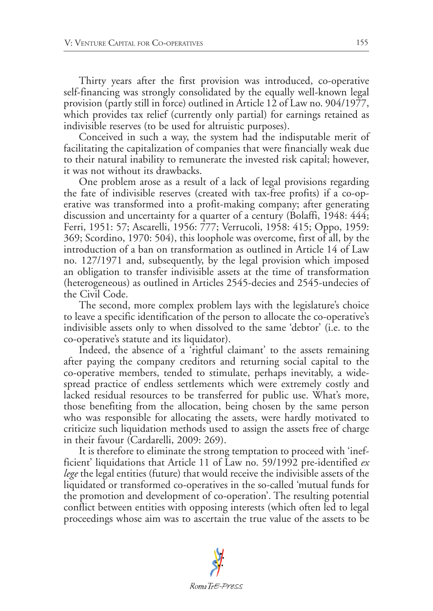Thirty years after the first provision was introduced, co-operative self-financing was strongly consolidated by the equally well-known legal provision (partly still in force) outlined in Article 12 of Law no. 904/1977, which provides tax relief (currently only partial) for earnings retained as indivisible reserves (to be used for altruistic purposes).

Conceived in such a way, the system had the indisputable merit of facilitating the capitalization of companies that were financially weak due to their natural inability to remunerate the invested risk capital; however, it was not without its drawbacks.

One problem arose as a result of a lack of legal provisions regarding the fate of indivisible reserves (created with tax-free profits) if a co-operative was transformed into a profit-making company; after generating discussion and uncertainty for a quarter of a century (Bolaffi, 1948: 444; Ferri, 1951: 57; Ascarelli, 1956: 777; Verrucoli, 1958: 415; Oppo, 1959: 369; Scordino, 1970: 504), this loophole was overcome, first of all, by the introduction of a ban on transformation as outlined in Article 14 of Law no. 127/1971 and, subsequently, by the legal provision which imposed an obligation to transfer indivisible assets at the time of transformation (heterogeneous) as outlined in Articles 2545-decies and 2545-undecies of the Civil Code.

The second, more complex problem lays with the legislature's choice to leave a specific identification of the person to allocate the co-operative's indivisible assets only to when dissolved to the same 'debtor' (i.e. to the co-operative's statute and its liquidator).

Indeed, the absence of a 'rightful claimant' to the assets remaining after paying the company creditors and returning social capital to the co-operative members, tended to stimulate, perhaps inevitably, a widespread practice of endless settlements which were extremely costly and lacked residual resources to be transferred for public use. What's more, those benefiting from the allocation, being chosen by the same person who was responsible for allocating the assets, were hardly motivated to criticize such liquidation methods used to assign the assets free of charge in their favour (Cardarelli, 2009: 269).

It is therefore to eliminate the strong temptation to proceed with 'inefficient' liquidations that Article 11 of Law no. 59/1992 pre-identified *ex lege* the legal entities (future) that would receive the indivisible assets of the liquidated or transformed co-operatives in the so-called 'mutual funds for the promotion and development of co-operation'. The resulting potential conflict between entities with opposing interests (which often led to legal proceedings whose aim was to ascertain the true value of the assets to be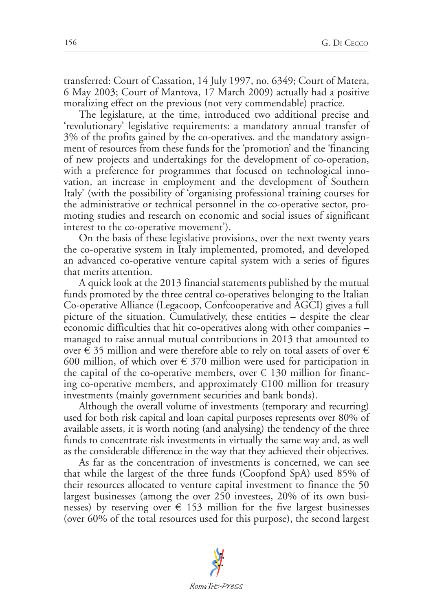transferred: Court of Cassation, 14 July 1997, no. 6349; Court of Matera, 6 May 2003; Court of Mantova, 17 March 2009) actually had a positive moralizing effect on the previous (not very commendable) practice.

The legislature, at the time, introduced two additional precise and 'revolutionary' legislative requirements: a mandatory annual transfer of 3% of the profits gained by the co-operatives. and the mandatory assignment of resources from these funds for the 'promotion' and the 'financing of new projects and undertakings for the development of co-operation, with a preference for programmes that focused on technological innovation, an increase in employment and the development of Southern Italy' (with the possibility of 'organising professional training courses for the administrative or technical personnel in the co-operative sector, promoting studies and research on economic and social issues of significant interest to the co-operative movement').

On the basis of these legislative provisions, over the next twenty years the co-operative system in Italy implemented, promoted, and developed an advanced co-operative venture capital system with a series of figures that merits attention.

A quick look at the 2013 financial statements published by the mutual funds promoted by the three central co-operatives belonging to the Italian Co-operative Alliance (Legacoop, Confcooperative and AGCI) gives a full picture of the situation. Cumulatively, these entities – despite the clear economic difficulties that hit co-operatives along with other companies – managed to raise annual mutual contributions in 2013 that amounted to over  $\in$  35 million and were therefore able to rely on total assets of over  $\in$ 600 million, of which over  $\in$  370 million were used for participation in the capital of the co-operative members, over  $\epsilon$  130 million for financing co-operative members, and approximately  $\epsilon$ 100 million for treasury investments (mainly government securities and bank bonds).

Although the overall volume of investments (temporary and recurring) used for both risk capital and loan capital purposes represents over 80% of available assets, it is worth noting (and analysing) the tendency of the three funds to concentrate risk investments in virtually the same way and, as well as the considerable difference in the way that they achieved their objectives.

As far as the concentration of investments is concerned, we can see that while the largest of the three funds (Coopfond SpA) used 85% of their resources allocated to venture capital investment to finance the 50 largest businesses (among the over 250 investees, 20% of its own businesses) by reserving over  $\epsilon$  153 million for the five largest businesses (over 60% of the total resources used for this purpose), the second largest

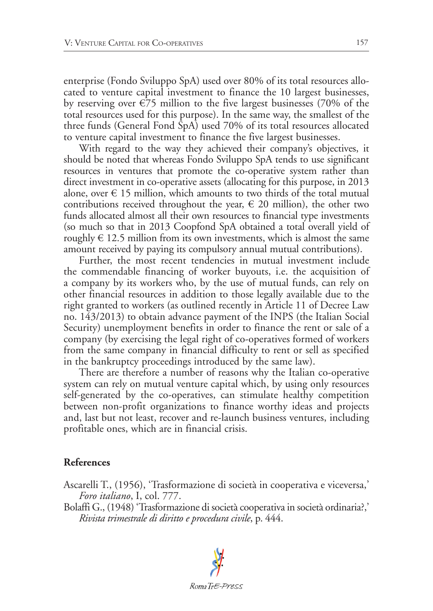enterprise (Fondo Sviluppo SpA) used over 80% of its total resources allocated to venture capital investment to finance the 10 largest businesses, by reserving over  $\epsilon$ 75 million to the five largest businesses (70% of the total resources used for this purpose). In the same way, the smallest of the three funds (General Fond SpA) used 70% of its total resources allocated to venture capital investment to finance the five largest businesses.

With regard to the way they achieved their company's objectives, it should be noted that whereas Fondo Sviluppo SpA tends to use significant resources in ventures that promote the co-operative system rather than direct investment in co-operative assets (allocating for this purpose, in 2013 alone, over  $\in$  15 million, which amounts to two thirds of the total mutual contributions received throughout the year,  $\epsilon$  20 million), the other two funds allocated almost all their own resources to financial type investments (so much so that in 2013 Coopfond SpA obtained a total overall yield of roughly  $\in$  12.5 million from its own investments, which is almost the same amount received by paying its compulsory annual mutual contributions).

Further, the most recent tendencies in mutual investment include the commendable financing of worker buyouts, i.e. the acquisition of a company by its workers who, by the use of mutual funds, can rely on other financial resources in addition to those legally available due to the right granted to workers (as outlined recently in Article 11 of Decree Law no. 143/2013) to obtain advance payment of the INPS (the Italian Social Security) unemployment benefits in order to finance the rent or sale of a company (by exercising the legal right of co-operatives formed of workers from the same company in financial difficulty to rent or sell as specified in the bankruptcy proceedings introduced by the same law).

There are therefore a number of reasons why the Italian co-operative system can rely on mutual venture capital which, by using only resources self-generated by the co-operatives, can stimulate healthy competition between non-profit organizations to finance worthy ideas and projects and, last but not least, recover and re-launch business ventures, including profitable ones, which are in financial crisis.

## **References**

Ascarelli T., (1956), 'Trasformazione di società in cooperativa e viceversa,' *Foro italiano*, I, col. 777.

Bolaffi G., (1948) 'Trasformazione di società cooperativa in società ordinaria?,' *Rivista trimestrale di diritto e procedura civile*, p. 444.